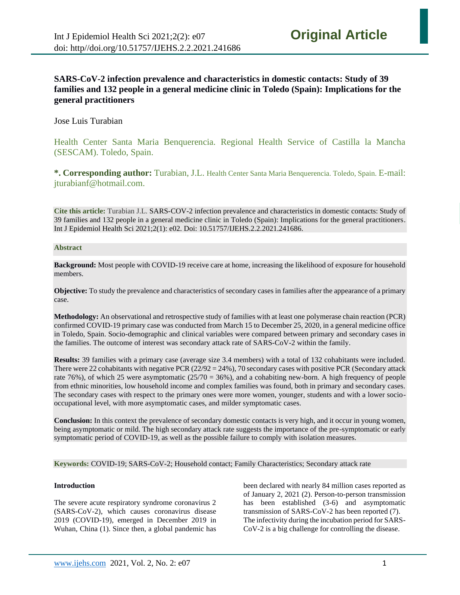# **SARS-CoV-2 infection prevalence and characteristics in domestic contacts: Study of 39 families and 132 people in a general medicine clinic in Toledo (Spain): Implications for the general practitioners**

Jose Luis Turabian

Health Center Santa Maria Benquerencia. Regional Health Service of Castilla la Mancha (SESCAM). Toledo, Spain.

**\*. Corresponding author:** Turabian, J.L. Health Center Santa Maria Benquerencia. Toledo, Spain. E-mail: jturabianf@hotmail.com.

**Cite this article:** Turabian J.L. [SARS-COV-2](http://www.ijehs.com/article_44700.html) infection prevalence and characteristics in domestic contacts: Study of 39 families and 132 people in a general medicine clinic in Toledo (Spain): Implications for the general practitioners. Int J Epidemiol Health Sci 2021;2(1): e02. Doi: 10.51757/IJEHS.2.2.2021.241686.

# **Abstract**

**Background:** Most people with COVID-19 receive care at home, increasing the likelihood of exposure for household members.

**Objective:** To study the prevalence and characteristics of secondary cases in families after the appearance of a primary case.

**Methodology:** An observational and retrospective study of families with at least one polymerase chain reaction (PCR) confirmed COVID-19 primary case was conducted from March 15 to December 25, 2020, in a general medicine office in Toledo, Spain. Socio-demographic and clinical variables were compared between primary and secondary cases in the families. The outcome of interest was secondary attack rate of SARS-CoV-2 within the family.

**Results:** 39 families with a primary case (average size 3.4 members) with a total of 132 cohabitants were included. There were 22 cohabitants with negative PCR  $(22/92 = 24\%)$ , 70 secondary cases with positive PCR (Secondary attack rate 76%), of which 25 were asymptomatic (25/70 = 36%), and a cohabiting new-born. A high frequency of people from ethnic minorities, low household income and complex families was found, both in primary and secondary cases. The secondary cases with respect to the primary ones were more women, younger, students and with a lower sociooccupational level, with more asymptomatic cases, and milder symptomatic cases.

**Conclusion:** In this context the prevalence of secondary domestic contacts is very high, and it occur in young women, being asymptomatic or mild. The high secondary attack rate suggests the importance of the pre-symptomatic or early symptomatic period of COVID-19, as well as the possible failure to comply with isolation measures.

**Keywords:** COVID-19; SARS-CoV-2; Household contact; Family Characteristics; Secondary attack rate

# **Introduction**

The severe acute respiratory syndrome coronavirus 2 (SARS-CoV-2), which causes coronavirus disease 2019 (COVID-19), emerged in December 2019 in Wuhan, China (1). Since then, a global pandemic has been declared with nearly 84 million cases reported as of January 2, 2021 (2). Person-to-person transmission has been established (3-6) and asymptomatic transmission of SARS-CoV-2 has been reported (7). The infectivity during the incubation period for SARS-CoV-2 is a big challenge for controlling the disease.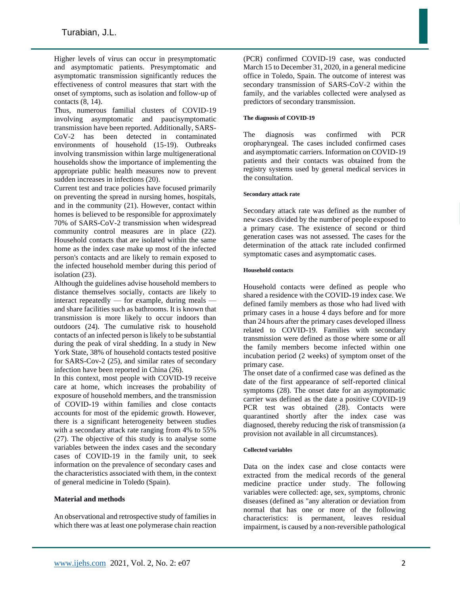Higher levels of virus can occur in presymptomatic and asymptomatic patients. Presymptomatic and asymptomatic transmission significantly reduces the effectiveness of control measures that start with the onset of symptoms, such as isolation and follow-up of contacts (8, 14).

Thus, numerous familial clusters of COVID-19 involving asymptomatic and paucisymptomatic transmission have been reported. Additionally, SARS-CoV-2 has been detected in contaminated environments of household (15-19). Outbreaks involving transmission within large multigenerational households show the importance of implementing the appropriate public health measures now to prevent sudden increases in infections (20).

Current test and trace policies have focused primarily on preventing the spread in nursing homes, hospitals, and in the community (21). However, contact within homes is believed to be responsible for approximately 70% of SARS-CoV-2 transmission when widespread community control measures are in place (22). Household contacts that are isolated within the same home as the index case make up most of the infected person's contacts and are likely to remain exposed to the infected household member during this period of isolation (23).

Although the guidelines advise household members to distance themselves socially, contacts are likely to interact repeatedly — for example, during meals and share facilities such as bathrooms. It is known that transmission is more likely to occur indoors than outdoors (24). The cumulative risk to household contacts of an infected person is likely to be substantial during the peak of viral shedding. In a study in New York State, 38% of household contacts tested positive for SARS-Cov-2 (25), and similar rates of secondary infection have been reported in China (26).

In this context, most people with COVID-19 receive care at home, which increases the probability of exposure of household members, and the transmission of COVID-19 within families and close contacts accounts for most of the epidemic growth. However, there is a significant heterogeneity between studies with a secondary attack rate ranging from 4% to 55% (27). The objective of this study is to analyse some variables between the index cases and the secondary cases of COVID-19 in the family unit, to seek information on the prevalence of secondary cases and the characteristics associated with them, in the context of general medicine in Toledo (Spain).

# **Material and methods**

An observational and retrospective study of families in which there was at least one polymerase chain reaction (PCR) confirmed COVID-19 case, was conducted March 15 to December 31, 2020, in a general medicine office in Toledo, Spain. The outcome of interest was secondary transmission of SARS-CoV-2 within the family, and the variables collected were analysed as predictors of secondary transmission.

### **The diagnosis of COVID-19**

The diagnosis was confirmed with PCR oropharyngeal. The cases included confirmed cases and asymptomatic carriers. Information on COVID-19 patients and their contacts was obtained from the registry systems used by general medical services in the consultation.

### **Secondary attack rate**

Secondary attack rate was defined as the number of new cases divided by the number of people exposed to a primary case. The existence of second or third generation cases was not assessed. The cases for the determination of the attack rate included confirmed symptomatic cases and asymptomatic cases.

### **Household contacts**

Household contacts were defined as people who shared a residence with the COVID-19 index case. We defined family members as those who had lived with primary cases in a house 4 days before and for more than 24 hours after the primary cases developed illness related to COVID-19. Families with secondary transmission were defined as those where some or all the family members become infected within one incubation period (2 weeks) of symptom onset of the primary case.

The onset date of a confirmed case was defined as the date of the first appearance of self-reported clinical symptoms (28). The onset date for an asymptomatic carrier was defined as the date a positive COVID-19 PCR test was obtained (28). Contacts were quarantined shortly after the index case was diagnosed, thereby reducing the risk of transmission (a provision not available in all circumstances).

#### **Collected variables**

Data on the index case and close contacts were extracted from the medical records of the general medicine practice under study. The following variables were collected: age, sex, symptoms, chronic diseases (defined as "any alteration or deviation from normal that has one or more of the following characteristics: is permanent, leaves residual impairment, is caused by a non-reversible pathological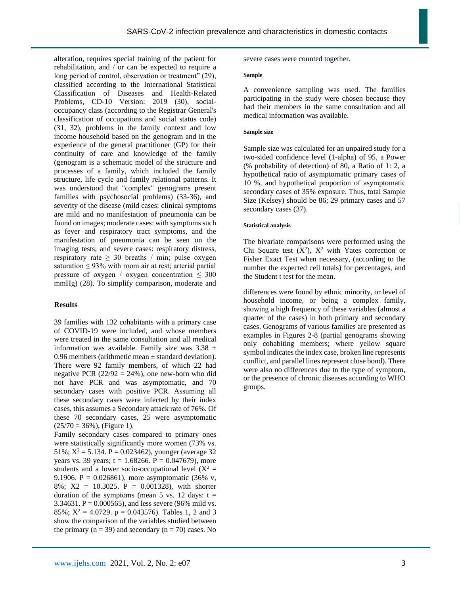alteration, requires special training of the patient for rehabilitation, and / or can be expected to require a long period of control, observation or treatment" (29), classified according to the International Statistical Classification of Diseases and Health-Related Problems, CD-10 Version: 2019 (30), socialoccupancy class (according to the Registrar General's classification of occupations and social status code) (31, 32), problems in the family context and low income household based on the genogram and in the experience of the general practitioner (GP) for their continuity of care and knowledge of the family (genogram is a schematic model of the structure and processes of a family, which included the family structure, life cycle and family relational patterns. It was understood that "complex" genograms present families with psychosocial problems) (33-36), and severity of the disease (mild cases: clinical symptoms are mild and no manifestation of pneumonia can be found on images; moderate cases: with symptoms such as fever and respiratory tract symptoms, and the manifestation of pneumonia can be seen on the imaging tests; and severe cases: respiratory distress, respiratory rate  $\geq 30$  breaths / min; pulse oxygen saturation  $\leq 93\%$  with room air at rest; arterial partial pressure of oxygen / oxygen concentration  $\leq 300$ mmHg) (28). To simplify comparison, moderate and

# **Results**

39 families with 132 cohabitants with a primary case of COVID-19 were included, and whose members were treated in the same consultation and all medical information was available. Family size was  $3.38 \pm$ 0.96 members (arithmetic mean  $\pm$  standard deviation). There were 92 family members, of which 22 had negative PCR  $(22/92 = 24\%)$ , one new-born who did not have PCR and was asymptomatic, and 70 secondary cases with positive PCR. Assuming all these secondary cases were infected by their index cases, this assumes a Secondary attack rate of 76%. Of these 70 secondary cases, 25 were asymptomatic  $(25/70 = 36\%)$ , (Figure 1).

Family secondary cases compared to primary ones were statistically significantly more women (73% vs. 51%;  $X^2 = 5.134$ . P = 0.023462), younger (average 32 years vs. 39 years;  $t = 1.68266$ .  $P = 0.047679$ , more students and a lower socio-occupational level  $(X^2 =$ 9.1906. P = 0.026861), more asymptomatic  $(36\% \text{ v},$ 8%; X2 = 10.3025. P = 0.001328), with shorter duration of the symptoms (mean  $5$  vs. 12 days:  $t =$ 3.34631. P =  $0.000565$ , and less severe (96% mild vs. 85%;  $X^2 = 4.0729$ .  $p = 0.043576$ . Tables 1, 2 and 3 show the comparison of the variables studied between the primary ( $n = 39$ ) and secondary ( $n = 70$ ) cases. No

severe cases were counted together.

#### **Sample**

A convenience sampling was used. The families participating in the study were chosen because they had their members in the same consultation and all medical information was available.

#### **Sample size**

Sample size was calculated for an unpaired study for a two-sided confidence level (1-alpha) of 95, a Power (% probability of detection) of 80, a Ratio of 1: 2, a hypothetical ratio of asymptomatic primary cases of 10 %, and hypothetical proportion of asymptomatic secondary cases of 35% exposure. Thus, total Sample Size (Kelsey) should be 86; 29 primary cases and 57 secondary cases (37).

#### **Statistical analysis**

The bivariate comparisons were performed using the Chi Square test  $(X^2)$ ,  $X^2$  with Yates correction or Fisher Exact Test when necessary, (according to the number the expected cell totals) for percentages, and the Student t test for the mean.

differences were found by ethnic minority, or level of household income, or being a complex family, showing a high frequency of these variables (almost a quarter of the cases) in both primary and secondary cases. Genograms of various families are presented as examples in Figures 2-8 (partial genograms showing only cohabiting members; where yellow square symbol indicates the index case, broken line represents conflict, and parallel lines represent close bond). There were also no differences due to the type of symptom, or the presence of chronic diseases according to WHO groups.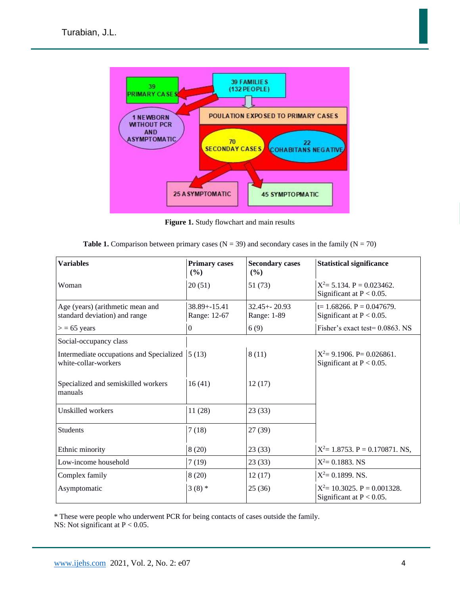

**Figure 1.** Study flowchart and main results

|  |  |  | <b>Table 1.</b> Comparison between primary cases ( $N = 39$ ) and secondary cases in the family ( $N = 70$ ) |
|--|--|--|--------------------------------------------------------------------------------------------------------------|
|--|--|--|--------------------------------------------------------------------------------------------------------------|

| <b>Variables</b>                                                  | <b>Primary cases</b><br>$(\%)$   | <b>Secondary cases</b><br>(%)  | <b>Statistical significance</b>                                |
|-------------------------------------------------------------------|----------------------------------|--------------------------------|----------------------------------------------------------------|
| Woman                                                             | 20(51)                           | 51(73)                         | $X^2 = 5.134$ . P = 0.023462.<br>Significant at $P < 0.05$ .   |
| Age (years) (arithmetic mean and<br>standard deviation) and range | $38.89 + -15.41$<br>Range: 12-67 | $32.45 + 20.93$<br>Range: 1-89 | $t=1.68266.$ P = 0.047679.<br>Significant at $P < 0.05$ .      |
| $>$ = 65 years                                                    | $\overline{0}$                   | 6(9)                           | Fisher's exact test= $0.0863$ . NS                             |
| Social-occupancy class                                            |                                  |                                |                                                                |
| Intermediate occupations and Specialized<br>white-collar-workers  | 5(13)                            | 8(11)                          | $X^2 = 9.1906$ . P= 0.026861.<br>Significant at $P < 0.05$ .   |
| Specialized and semiskilled workers<br>manuals                    | 16(41)                           | 12(17)                         |                                                                |
| Unskilled workers                                                 | 11(28)                           | 23(33)                         |                                                                |
| <b>Students</b>                                                   | 7(18)                            | 27(39)                         |                                                                |
| Ethnic minority                                                   | 8(20)                            | 23(33)                         | $X^2 = 1.8753$ . P = 0.170871. NS,                             |
| Low-income household                                              | 7(19)                            | 23(33)                         | $X^2 = 0.1883$ . NS                                            |
| Complex family                                                    | 8(20)                            | 12(17)                         | $X^2 = 0.1899$ . NS.                                           |
| Asymptomatic                                                      | $3(8)$ *                         | 25(36)                         | $X^2 = 10.3025$ . P = 0.001328.<br>Significant at $P < 0.05$ . |

\* These were people who underwent PCR for being contacts of cases outside the family.

NS: Not significant at  $P < 0.05$ .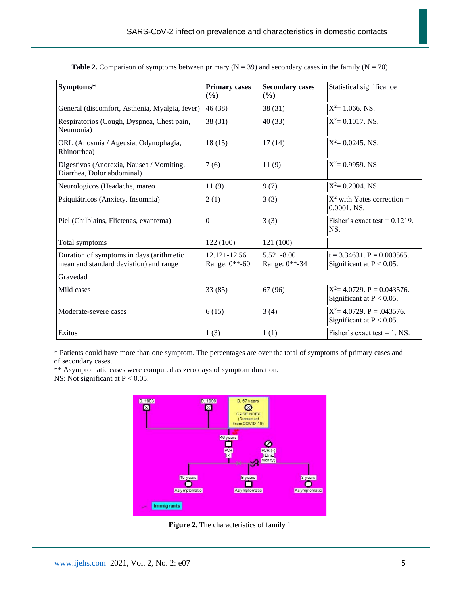| Symptoms*                                                                                      | <b>Primary cases</b><br>(%)      | <b>Secondary cases</b><br>(%)         | Statistical significance                                         |
|------------------------------------------------------------------------------------------------|----------------------------------|---------------------------------------|------------------------------------------------------------------|
| General (discomfort, Asthenia, Myalgia, fever)                                                 | 46(38)                           | 38(31)                                | $X^2$ = 1.066. NS.                                               |
| Respiratorios (Cough, Dyspnea, Chest pain,<br>Neumonia)                                        | 38(31)                           | 40(33)                                | $X^2 = 0.1017$ . NS.                                             |
| ORL (Anosmia / Ageusia, Odynophagia,<br>Rhinorrhea)                                            | 18(15)                           | 17(14)                                | $X^2 = 0.0245$ . NS.                                             |
| Digestivos (Anorexia, Nausea / Vomiting,<br>Diarrhea, Dolor abdominal)                         | 7(6)                             | 11(9)                                 | $X^2 = 0.9959$ . NS                                              |
| Neurologicos (Headache, mareo                                                                  | 11(9)                            | 9(7)                                  | $X^2 = 0.2004$ . NS                                              |
| Psiquiátricos (Anxiety, Insomnia)                                                              | 2(1)                             | 3(3)                                  | $X^2$ with Yates correction =<br>$0.0001$ , NS.                  |
| Piel (Chilblains, Flictenas, exantema)                                                         | $\Omega$                         | 3(3)                                  | Fisher's exact test = $0.1219$ .<br>NS.                          |
| Total symptoms                                                                                 | 122 (100)                        | 121 (100)                             |                                                                  |
| Duration of symptoms in days (arithmetic<br>mean and standard deviation) and range<br>Gravedad | $12.12 + 12.56$<br>Range: 0**-60 | $5.52 + -8.00$<br>Range: $0^{**}$ -34 | $t = 3.34631$ , $P = 0.000565$ .<br>Significant at $P < 0.05$ .  |
|                                                                                                |                                  |                                       |                                                                  |
| Mild cases                                                                                     | 33(85)                           | 67 (96)                               | $X^2 = 4.0729$ , $P = 0.043576$ .<br>Significant at $P < 0.05$ . |
| Moderate-severe cases                                                                          | 6(15)                            | 3(4)                                  | $X^2 = 4.0729$ . P = .043576.<br>Significant at $P < 0.05$ .     |
| Exitus                                                                                         | 1(3)                             | 1(1)                                  | Fisher's exact test $= 1$ . NS.                                  |

**Table 2.** Comparison of symptoms between primary  $(N = 39)$  and secondary cases in the family  $(N = 70)$ 

\* Patients could have more than one symptom. The percentages are over the total of symptoms of primary cases and of secondary cases.

\*\* Asymptomatic cases were computed as zero days of symptom duration. NS: Not significant at  $P < 0.05$ .



**Figure 2.** The characteristics of family 1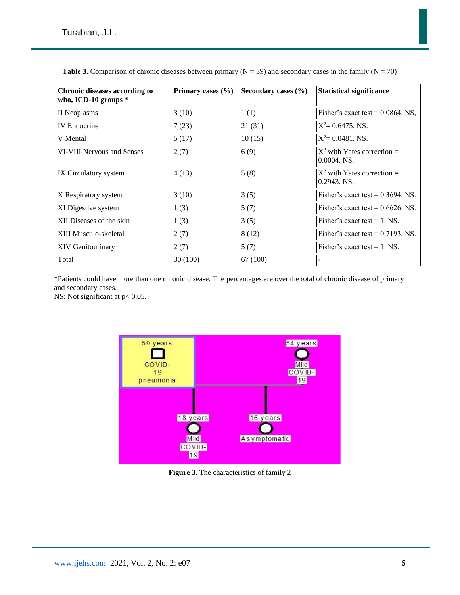| Chronic diseases according to<br>who, ICD-10 groups $*$ | Primary cases $(\% )$ | Secondary cases $(\% )$ | <b>Statistical significance</b>                |
|---------------------------------------------------------|-----------------------|-------------------------|------------------------------------------------|
| II Neoplasms                                            | 3(10)                 | 1(1)                    | Fisher's exact test = $0.0864$ . NS.           |
| <b>IV</b> Endocrine                                     | 7(23)                 | 21(31)                  | $X^2 = 0.6475$ . NS.                           |
| V Mental                                                | 5(17)                 | 10(15)                  | $X^2 = 0.0481$ . NS.                           |
| VI-VIII Nervous and Senses                              | 2(7)                  | 6(9)                    | $X^2$ with Yates correction =<br>$0.0004.$ NS. |
| IX Circulatory system                                   | 4(13)                 | 5(8)                    | $X^2$ with Yates correction =<br>$0.2943.$ NS. |
| X Respiratory system                                    | 3(10)                 | 3(5)                    | Fisher's exact test = $0.3694$ . NS.           |
| XI Digestive system                                     | 1(3)                  | 5(7)                    | Fisher's exact test = $0.6626$ . NS.           |
| XII Diseases of the skin                                | 1(3)                  | 3(5)                    | Fisher's exact test = $1.$ NS.                 |
| XIII Musculo-skeletal                                   | 2(7)                  | 8(12)                   | Fisher's exact test = $0.7193$ . NS.           |
| <b>XIV Genitourinary</b>                                | 2(7)                  | 5(7)                    | Fisher's exact test $= 1$ . NS.                |
| Total                                                   | 30(100)               | 67 (100)                |                                                |

**Table 3.** Comparison of chronic diseases between primary  $(N = 39)$  and secondary cases in the family  $(N = 70)$ 

\*Patients could have more than one chronic disease. The percentages are over the total of chronic disease of primary and secondary cases.

NS: Not significant at  $p < 0.05$ .



**Figure 3.** The characteristics of family 2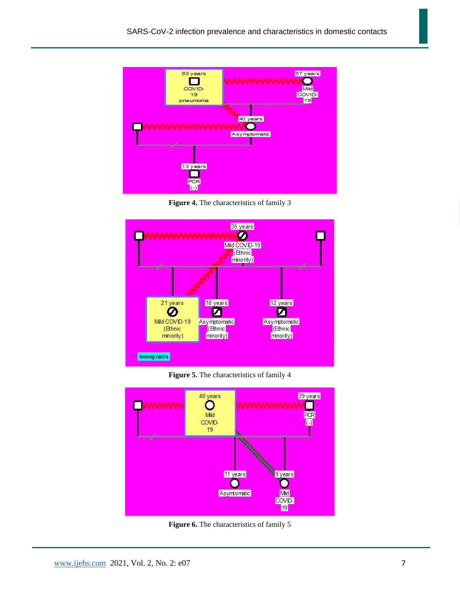

**Figure 4.** The characteristics of family 3



**Figure 5.** The characteristics of family 4



**Figure 6.** The characteristics of family 5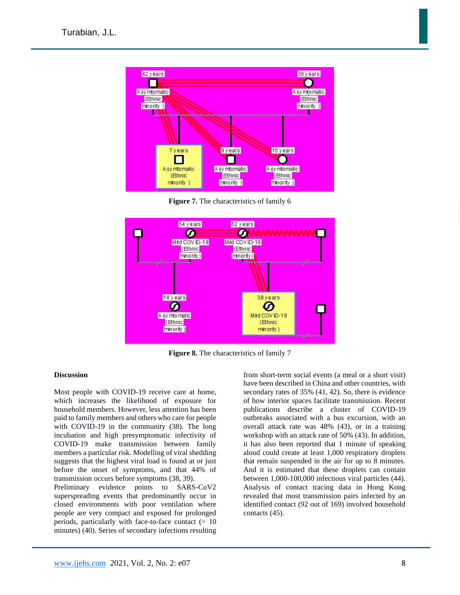

**Figure 7.** The characteristics of family 6



**Figure 8.** The characteristics of family 7

#### **Discussion**

Most people with COVID-19 receive care at home, which increases the likelihood of exposure for household members. However, less attention has been paid to family members and others who care for people with COVID-19 in the community (38). The long incubation and high presymptomatic infectivity of COVID-19 make transmission between family members a particular risk. Modelling of viral shedding suggests that the highest viral load is found at or just before the onset of symptoms, and that 44% of transmission occurs before symptoms (38, 39).

Preliminary evidence points to SARS-CoV2 superspreading events that predominantly occur in closed environments with poor ventilation where people are very compact and exposed for prolonged periods, particularly with face-to-face contact  $(> 10$ minutes) (40). Series of secondary infections resulting from short-term social events (a meal or a short visit) have been described in China and other countries, with secondary rates of 35% (41, 42). So, there is evidence of how interior spaces facilitate transmission. Recent publications describe a cluster of COVID-19 outbreaks associated with a bus excursion, with an overall attack rate was 48% (43), or in a training workshop with an attack rate of 50% (43). In addition, it has also been reported that 1 minute of speaking aloud could create at least 1,000 respiratory droplets that remain suspended in the air for up to 8 minutes. And it is estimated that these droplets can contain between 1,000-100,000 infectious viral particles (44). Analysis of contact tracing data in Hong Kong revealed that most transmission pairs infected by an identified contact (92 out of 169) involved household contacts (45).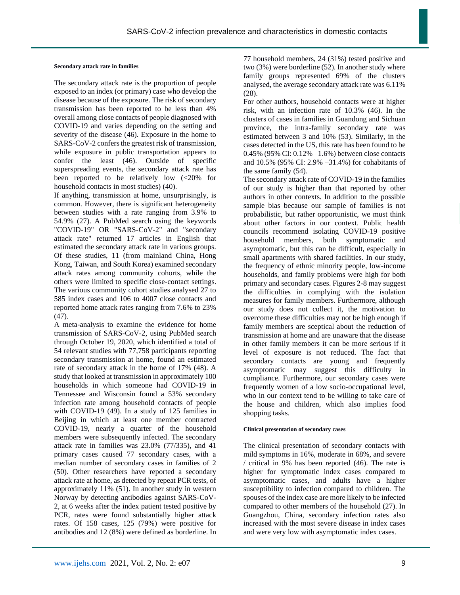#### **Secondary attack rate in families**

The secondary attack rate is the proportion of people exposed to an index (or primary) case who develop the disease because of the exposure. The risk of secondary transmission has been reported to be less than 4% overall among close contacts of people diagnosed with COVID-19 and varies depending on the setting and severity of the disease (46). Exposure in the home to SARS-CoV-2 confers the greatest risk of transmission, while exposure in public transportation appears to confer the least (46). Outside of specific superspreading events, the secondary attack rate has been reported to be relatively low (<20% for household contacts in most studies) (40).

If anything, transmission at home, unsurprisingly, is common. However, there is significant heterogeneity between studies with a rate ranging from 3.9% to 54.9% (27). A PubMed search using the keywords "COVID-19" OR "SARS-CoV-2" and "secondary attack rate" returned 17 articles in English that estimated the secondary attack rate in various groups. Of these studies, 11 (from mainland China, Hong Kong, Taiwan, and South Korea) examined secondary attack rates among community cohorts, while the others were limited to specific close-contact settings. The various community cohort studies analysed 27 to 585 index cases and 106 to 4007 close contacts and reported home attack rates ranging from 7.6% to 23%  $(47)$ .

A meta-analysis to examine the evidence for home transmission of SARS-CoV-2, using PubMed search through October 19, 2020, which identified a total of 54 relevant studies with 77,758 participants reporting secondary transmission at home, found an estimated rate of secondary attack in the home of 17% (48). A study that looked at transmission in approximately 100 households in which someone had COVID-19 in Tennessee and Wisconsin found a 53% secondary infection rate among household contacts of people with COVID-19 (49). In a study of 125 families in Beijing in which at least one member contracted COVID-19, nearly a quarter of the household members were subsequently infected. The secondary attack rate in families was 23.0% (77/335), and 41 primary cases caused 77 secondary cases, with a median number of secondary cases in families of 2 (50). Other researchers have reported a secondary attack rate at home, as detected by repeat PCR tests, of approximately 11% (51). In another study in western Norway by detecting antibodies against SARS-CoV-2, at 6 weeks after the index patient tested positive by PCR, rates were found substantially higher attack rates. Of 158 cases, 125 (79%) were positive for antibodies and 12 (8%) were defined as borderline. In

77 household members, 24 (31%) tested positive and two (3%) were borderline (52). In another study where family groups represented 69% of the clusters analysed, the average secondary attack rate was 6.11% (28).

For other authors, household contacts were at higher risk, with an infection rate of 10.3% (46). In the clusters of cases in families in Guandong and Sichuan province, the intra-family secondary rate was estimated between 3 and 10% (53). Similarly, in the cases detected in the US, this rate has been found to be 0.45% (95% CI: 0.12% –1.6%) between close contacts and 10.5% (95% CI: 2.9% –31.4%) for cohabitants of the same family (54).

The secondary attack rate of COVID-19 in the families of our study is higher than that reported by other authors in other contexts. In addition to the possible sample bias because our sample of families is not probabilistic, but rather opportunistic, we must think about other factors in our context. Public health councils recommend isolating COVID-19 positive household members, both symptomatic and asymptomatic, but this can be difficult, especially in small apartments with shared facilities. In our study, the frequency of ethnic minority people, low-income households, and family problems were high for both primary and secondary cases. Figures 2-8 may suggest the difficulties in complying with the isolation measures for family members. Furthermore, although our study does not collect it, the motivation to overcome these difficulties may not be high enough if family members are sceptical about the reduction of transmission at home and are unaware that the disease in other family members it can be more serious if it level of exposure is not reduced. The fact that secondary contacts are young and frequently asymptomatic may suggest this difficulty in compliance. Furthermore, our secondary cases were frequently women of a low socio-occupational level, who in our context tend to be willing to take care of the house and children, which also implies food shopping tasks.

### **Clinical presentation of secondary cases**

The clinical presentation of secondary contacts with mild symptoms in 16%, moderate in 68%, and severe / critical in 9% has been reported (46). The rate is higher for symptomatic index cases compared to asymptomatic cases, and adults have a higher susceptibility to infection compared to children. The spouses of the index case are more likely to be infected compared to other members of the household (27). In Guangzhou, China, secondary infection rates also increased with the most severe disease in index cases and were very low with asymptomatic index cases.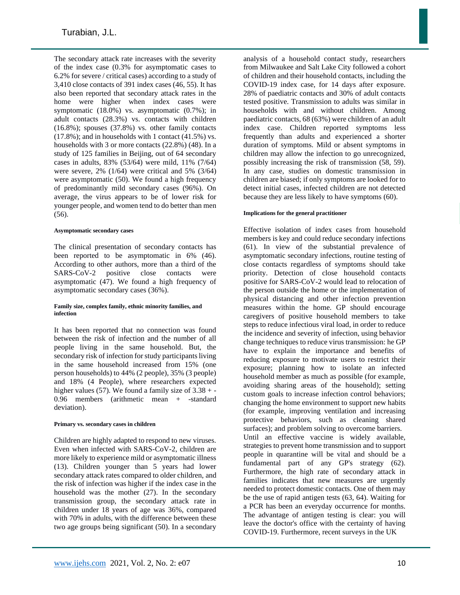The secondary attack rate increases with the severity of the index case (0.3% for asymptomatic cases to 6.2% for severe / critical cases) according to a study of 3,410 close contacts of 391 index cases (46, 55). It has also been reported that secondary attack rates in the home were higher when index cases were symptomatic (18.0%) vs. asymptomatic (0.7%); in adult contacts (28.3%) vs. contacts with children (16.8%); spouses (37.8%) vs. other family contacts  $(17.8\%)$ ; and in households with 1 contact  $(41.5\%)$  vs. households with 3 or more contacts (22.8%) (48). In a study of 125 families in Beijing, out of 64 secondary cases in adults, 83% (53/64) were mild, 11% (7/64) were severe, 2% (1/64) were critical and 5% (3/64) were asymptomatic (50). We found a high frequency of predominantly mild secondary cases (96%). On average, the virus appears to be of lower risk for younger people, and women tend to do better than men (56).

### **Asymptomatic secondary cases**

The clinical presentation of secondary contacts has been reported to be asymptomatic in 6% (46). According to other authors, more than a third of the SARS-CoV-2 positive close contacts were asymptomatic (47). We found a high frequency of asymptomatic secondary cases (36%).

#### **Family size, complex family, ethnic minority families, and infection**

It has been reported that no connection was found between the risk of infection and the number of all people living in the same household. But, the secondary risk of infection for study participants living in the same household increased from 15% (one person households) to 44% (2 people), 35% (3 people) and 18% (4 People), where researchers expected higher values (57). We found a family size of  $3.38 + -$ 0.96 members (arithmetic mean + -standard deviation).

# **Primary vs. secondary cases in children**

Children are highly adapted to respond to new viruses. Even when infected with SARS-CoV-2, children are more likely to experience mild or asymptomatic illness (13). Children younger than 5 years had lower secondary attack rates compared to older children, and the risk of infection was higher if the index case in the household was the mother (27). In the secondary transmission group, the secondary attack rate in children under 18 years of age was 36%, compared with 70% in adults, with the difference between these two age groups being significant (50). In a secondary

analysis of a household contact study, researchers from Milwaukee and Salt Lake City followed a cohort of children and their household contacts, including the COVID-19 index case, for 14 days after exposure. 28% of paediatric contacts and 30% of adult contacts tested positive. Transmission to adults was similar in households with and without children. Among paediatric contacts, 68 (63%) were children of an adult index case. Children reported symptoms less frequently than adults and experienced a shorter duration of symptoms. Mild or absent symptoms in children may allow the infection to go unrecognized, possibly increasing the risk of transmission (58, 59). In any case, studies on domestic transmission in children are biased; if only symptoms are looked for to detect initial cases, infected children are not detected because they are less likely to have symptoms (60).

# **Implications for the general practitioner**

Effective isolation of index cases from household members is key and could reduce secondary infections (61). In view of the substantial prevalence of asymptomatic secondary infections, routine testing of close contacts regardless of symptoms should take priority. Detection of close household contacts positive for SARS-CoV-2 would lead to relocation of the person outside the home or the implementation of physical distancing and other infection prevention measures within the home. GP should encourage caregivers of positive household members to take steps to reduce infectious viral load, in order to reduce the incidence and severity of infection, using behavior change techniques to reduce virus transmission: he GP have to explain the importance and benefits of reducing exposure to motivate users to restrict their exposure; planning how to isolate an infected household member as much as possible (for example, avoiding sharing areas of the household); setting custom goals to increase infection control behaviors; changing the home environment to support new habits (for example, improving ventilation and increasing protective behaviors, such as cleaning shared surfaces); and problem solving to overcome barriers. Until an effective vaccine is widely available, strategies to prevent home transmission and to support people in quarantine will be vital and should be a fundamental part of any GP's strategy (62). Furthermore, the high rate of secondary attack in families indicates that new measures are urgently needed to protect domestic contacts. One of them may be the use of rapid antigen tests (63, 64). Waiting for a PCR has been an everyday occurrence for months. The advantage of antigen testing is clear: you will leave the doctor's office with the certainty of having COVID-19. Furthermore, recent surveys in the UK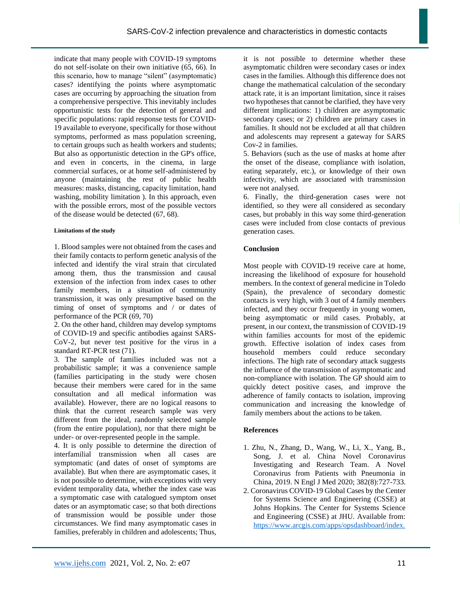indicate that many people with COVID-19 symptoms do not self-isolate on their own initiative (65, 66). In this scenario, how to manage "silent" (asymptomatic) cases? identifying the points where asymptomatic cases are occurring by approaching the situation from a comprehensive perspective. This inevitably includes opportunistic tests for the detection of general and specific populations: rapid response tests for COVID-19 available to everyone, specifically for those without symptoms, performed as mass population screening, to certain groups such as health workers and students; But also as opportunistic detection in the GP's office, and even in concerts, in the cinema, in large commercial surfaces, or at home self-administered by anyone (maintaining the rest of public health measures: masks, distancing, capacity limitation, hand washing, mobility limitation ). In this approach, even with the possible errors, most of the possible vectors of the disease would be detected (67, 68).

### **Limitations of the study**

1. Blood samples were not obtained from the cases and their family contacts to perform genetic analysis of the infected and identify the viral strain that circulated among them, thus the transmission and causal extension of the infection from index cases to other family members, in a situation of community transmission, it was only presumptive based on the timing of onset of symptoms and / or dates of performance of the PCR (69, 70)

2. On the other hand, children may develop symptoms of COVID-19 and specific antibodies against SARS-CoV-2, but never test positive for the virus in a standard RT-PCR test (71).

3. The sample of families included was not a probabilistic sample; it was a convenience sample (families participating in the study were chosen because their members were cared for in the same consultation and all medical information was available). However, there are no logical reasons to think that the current research sample was very different from the ideal, randomly selected sample (from the entire population), nor that there might be under- or over-represented people in the sample.

4. It is only possible to determine the direction of interfamilial transmission when all cases are symptomatic (and dates of onset of symptoms are available). But when there are asymptomatic cases, it is not possible to determine, with exceptions with very evident temporality data, whether the index case was a symptomatic case with catalogued symptom onset dates or an asymptomatic case; so that both directions of transmission would be possible under those circumstances. We find many asymptomatic cases in families, preferably in children and adolescents; Thus,

it is not possible to determine whether these asymptomatic children were secondary cases or index cases in the families. Although this difference does not change the mathematical calculation of the secondary attack rate, it is an important limitation, since it raises two hypotheses that cannot be clarified, they have very different implications: 1) children are asymptomatic secondary cases; or 2) children are primary cases in families. It should not be excluded at all that children and adolescents may represent a gateway for SARS Cov-2 in families.

5. Behaviors (such as the use of masks at home after the onset of the disease, compliance with isolation, eating separately, etc.), or knowledge of their own infectivity, which are associated with transmission were not analysed.

6. Finally, the third-generation cases were not identified, so they were all considered as secondary cases, but probably in this way some third-generation cases were included from close contacts of previous generation cases.

# **Conclusion**

Most people with COVID-19 receive care at home, increasing the likelihood of exposure for household members. In the context of general medicine in Toledo (Spain), the prevalence of secondary domestic contacts is very high, with 3 out of 4 family members infected, and they occur frequently in young women, being asymptomatic or mild cases. Probably, at present, in our context, the transmission of COVID-19 within families accounts for most of the epidemic growth. Effective isolation of index cases from household members could reduce secondary infections. The high rate of secondary attack suggests the influence of the transmission of asymptomatic and non-compliance with isolation. The GP should aim to quickly detect positive cases, and improve the adherence of family contacts to isolation, improving communication and increasing the knowledge of family members about the actions to be taken.

# **References**

- 1. Zhu, N., Zhang, D., Wang, W., Li, X., Yang, B., Song, J. et al. China Novel Coronavirus Investigating and Research Team. A Novel Coronavirus from Patients with Pneumonia in China, 2019. N Engl J Med 2020; 382(8):727-733.
- 2. Coronavirus COVID-19 Global Cases by the Center for Systems Science and Engineering (CSSE) at Johns Hopkins. The Center for Systems Science and Engineering (CSSE) at JHU. Available from: [https://www.arcgis.com/apps/opsdashboard/index.](https://www.arcgis.com/apps/opsdashboard/index.html#/bda7594740fd40299423467b48e9ecf6)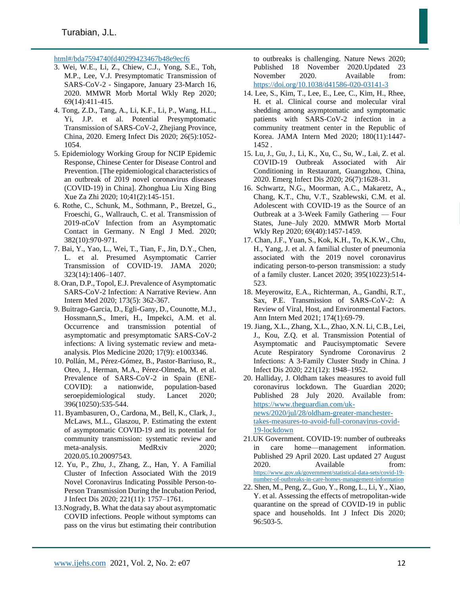# [html#/bda7594740fd40299423467b48e9ecf6](https://www.arcgis.com/apps/opsdashboard/index.html#/bda7594740fd40299423467b48e9ecf6)

- 3. Wei, W.E., Li, Z., Chiew, C.J., Yong, S.E., Toh, M.P., Lee, V.J. Presymptomatic Transmission of SARS-CoV-2 - Singapore, January 23-March 16, 2020. MMWR Morb Mortal Wkly Rep 2020; 69(14):411-415.
- 4. Tong, Z.D., Tang, A., Li, K.F., Li, P., Wang, H.L., Yi, J.P. et al. Potential Presymptomatic Transmission of SARS-CoV-2, Zhejiang Province, China, 2020. Emerg Infect Dis 2020; 26(5):1052- 1054.
- 5. Epidemiology Working Group for NCIP Epidemic Response, Chinese Center for Disease Control and Prevention. [The epidemiological characteristics of an outbreak of 2019 novel coronavirus diseases (COVID-19) in China]. Zhonghua Liu Xing Bing Xue Za Zhi 2020; 10;41(2):145-151.
- 6. Rothe, C., Schunk, M., Sothmann, P., Bretzel, G., Froeschi, G., Wallrauch, C. et al. Transmission of 2019-nCoV Infection from an Asymptomatic Contact in Germany. N Engl J Med. 2020; 382(10):970-971.
- 7. Bai, Y., Yao, L., Wei, T., Tian, F., Jin, D.Y., Chen, L. et al. Presumed Asymptomatic Carrier Transmission of COVID-19. JAMA 2020; 323(14):1406–1407.
- 8. Oran, D.P., Topol, E.J. Prevalence of Asymptomatic SARS-CoV-2 Infection: A Narrative Review. Ann Intern Med 2020; 173(5): 362-367.
- 9. Buitrago-Garcia, D., Egli-Gany, D., Counotte, M.J., Hossmann,S., Imeri, H., Impekci, A.M. et al. Occurrence and transmission potential of asymptomatic and presymptomatic SARS-CoV-2 infections: A living systematic review and metaanalysis. Plos Medicine 2020; 17(9): e1003346.
- 10. Pollán, M., Pérez-Gómez, B., Pastor-Barriuso, R., Oteo, J., Herman, M.A., Pérez-Olmeda, M. et al. Prevalence of SARS-CoV-2 in Spain (ENE-COVID): a nationwide, population-based seroepidemiological study. Lancet 2020; 396(10250):535-544.
- 11. Byambasuren, O., Cardona, M., Bell, K., Clark, J., McLaws, M.L., Glaszou, P. Estimating the extent of asymptomatic COVID-19 and its potential for community transmission: systematic review and meta-analysis. MedRxiv 2020; 2020.05.10.20097543.
- 12. Yu, P., Zhu, J., Zhang, Z., Han, Y. A Familial Cluster of Infection Associated With the 2019 Novel Coronavirus Indicating Possible Person-to-Person Transmission During the Incubation Period, J Infect Dis 2020; 221(11): 1757–1761.
- 13.Nogrady, B. What the data say about asymptomatic COVID infections. People without symptoms can pass on the virus but estimating their contribution

to outbreaks is challenging. Nature News 2020; Published 18 November 2020.Updated 23 November 2020. Available from: <https://doi.org/10.1038/d41586-020-03141-3>

- 14. Lee, S., Kim, T., Lee, E., Lee, C., Kim, H., Rhee, H. et al. Clinical course and molecular viral shedding among asymptomatic and symptomatic patients with SARS-CoV-2 infection in a community treatment center in the Republic of Korea. JAMA Intern Med 2020; 180(11):1447- 1452 .
- 15. Lu, J., Gu, J., Li, K., Xu, C., Su, W., Lai, Z. et al. COVID-19 Outbreak Associated with Air Conditioning in Restaurant, Guangzhou, China, 2020. Emerg Infect Dis 2020; 26(7):1628-31.
- 16. Schwartz, N.G., Moorman, A.C., Makaretz, A., Chang, K.T., Chu, V.T., Szablewski, C.M. et al. Adolescent with COVID-19 as the Source of an Outbreak at a 3-Week Family Gathering — Four States, June–July 2020. MMWR Morb Mortal Wkly Rep 2020; 69(40):1457-1459.
- 17. Chan, J.F., Yuan, S., Kok, K.H., To, K.K.W., Chu, H., Yang, J. et al. A familial cluster of pneumonia associated with the 2019 novel coronavirus indicating person-to-person transmission: a study of a family cluster. Lancet 2020; 395(10223):514- 523.
- 18. Meyerowitz, E.A., Richterman, A., Gandhi, R.T., Sax, P.E. Transmission of SARS-CoV-2: A Review of Viral, Host, and Environmental Factors. Ann Intern Med 2021; 174(1):69-79.
- 19. Jiang, X.L., Zhang, X.L., Zhao, X.N. Li, C.B., Lei, J., Kou, Z.Q. et al. Transmission Potential of Asymptomatic and Paucisymptomatic Severe Acute Respiratory Syndrome Coronavirus 2 Infections: A 3-Family Cluster Study in China. J Infect Dis 2020; 221(12): 1948–1952.
- 20. Halliday, J. Oldham takes measures to avoid full coronavirus lockdown. The Guardian 2020; Published 28 July 2020. Available from: [https://www.theguardian.com/uk](https://www.theguardian.com/uk-news/2020/jul/28/oldham-greater-manchester-takes-measures-to-avoid-full-coronavirus-covid-19-lockdown)[news/2020/jul/28/oldham-greater-manchester](https://www.theguardian.com/uk-news/2020/jul/28/oldham-greater-manchester-takes-measures-to-avoid-full-coronavirus-covid-19-lockdown)[takes-measures-to-avoid-full-coronavirus-covid-](https://www.theguardian.com/uk-news/2020/jul/28/oldham-greater-manchester-takes-measures-to-avoid-full-coronavirus-covid-19-lockdown)[19-lockdown](https://www.theguardian.com/uk-news/2020/jul/28/oldham-greater-manchester-takes-measures-to-avoid-full-coronavirus-covid-19-lockdown)
- 21.UK Government. COVID-19: number of outbreaks in care home—management information. Published 29 April 2020. Last updated 27 August 2020. Available from: [https://www.gov.uk/government/statistical-data-sets/covid-19](https://www.gov.uk/government/statistical-data-sets/covid-19-number-of-outbreaks-in-care-homes-management-information) [number-of-outbreaks-in-care-homes-management-information](https://www.gov.uk/government/statistical-data-sets/covid-19-number-of-outbreaks-in-care-homes-management-information)
- 22. Shen, M., Peng, Z., Guo, Y., Rong, L., Li, Y., Xiao, Y. et al. Assessing the effects of metropolitan-wide quarantine on the spread of COVID-19 in public space and households. Int J Infect Dis 2020; 96:503-5.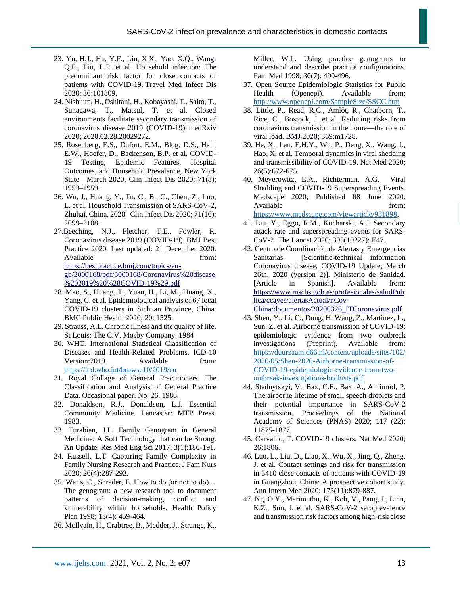- 23. Yu, H.J., Hu, Y.F., Liu, X.X., Yao, X.Q., Wang, Q.F., Liu, L.P. et al. Household infection: The predominant risk factor for close contacts of patients with COVID-19. Travel Med Infect Dis 2020; 36:101809.
- 24. Nishiura, H., Oshitani, H., Kobayashi, T., Saito, T., Sunagawa, T., Matsul, T. et al. Closed environments facilitate secondary transmission of coronavirus disease 2019 (COVID-19). medRxiv 2020; 2020.02.28.20029272.
- 25. Rosenberg, E.S., Dufort, E.M., Blog, D.S., Hall, E.W., Hoefer, D., Backenson, B.P. et al. COVID-19 Testing, Epidemic Features, Hospital Outcomes, and Household Prevalence, New York State—March 2020. Clin Infect Dis 2020; 71(8): 1953–1959.
- 26. Wu, J., Huang, Y., Tu, C., Bi, C., Chen, Z., Luo, L. et al. Household Transmission of SARS-CoV-2, Zhuhai, China, 2020. Clin Infect Dis 2020; 71(16): 2099–2108.
- 27.Beeching, N.J., Fletcher, T.E., Fowler, R. Coronavirus disease 2019 (COVID-19). BMJ Best Practice 2020. Last updated: 21 December 2020. Available from: [https://bestpractice.bmj.com/topics/en-](https://bestpractice.bmj.com/topics/en-gb/3000168/pdf/3000168/Coronavirus%20disease%202019%20(COVID-19).pdf)

[gb/3000168/pdf/3000168/Coronavirus%20disease](https://bestpractice.bmj.com/topics/en-gb/3000168/pdf/3000168/Coronavirus%20disease%202019%20(COVID-19).pdf) [%202019%20%28COVID-19%29.pdf](https://bestpractice.bmj.com/topics/en-gb/3000168/pdf/3000168/Coronavirus%20disease%202019%20(COVID-19).pdf)

- 28. Mao, S., Huang, T., Yuan, H., Li, M., Huang, X., Yang, C. et al. Epidemiological analysis of 67 local COVID-19 clusters in Sichuan Province, China. BMC Public Health 2020; 20: 1525.
- 29. Strauss, A.L. Chronic illness and the quality of life. St Louis: The C.V. Mosby Company. 1984
- 30. WHO. International Statistical Classification of Diseases and Health-Related Problems. ICD-10 Version: 2019. Available from: <https://icd.who.int/browse10/2019/en>
- 31. Royal Collage of General Practitioners. The Classification and Analysis of General Practice Data. Occasional paper. No. 26. 1986.
- 32. Donaldson, R.J., Donaldson, L.J. Essential Community Medicine. Lancaster: MTP Press. 1983.
- 33. Turabian, J.L. Family Genogram in General Medicine: A Soft Technology that can be Strong. An Update. Res Med Eng Sci 2017; 3(1):186-191.
- 34. Russell, L.T. Capturing Family Complexity in Family Nursing Research and Practice. J Fam Nurs 2020; 26(4):287-293.
- 35. Watts, C., Shrader, E. How to do (or not to do)… The genogram: a new research tool to document patterns of decision-making, conflict and vulnerability within households. Health Policy Plan 1998; 13(4): 459-464.
- 36. McIlvain, H., Crabtree, B., Medder, J., Strange, K.,

Miller, W.L. Using practice genograms to understand and describe practice configurations. Fam Med 1998; 30(7): 490-496.

- 37. Open Source Epidemiologic Statistics for Public Health (Openepi). Available from: <http://www.openepi.com/SampleSize/SSCC.htm>
- 38. Little, P., Read, R.C., Amlôt, R., Chatborn, T., Rice, C., Bostock, J. et al. Reducing risks from coronavirus transmission in the home—the role of viral load. BMJ 2020; 369:m1728.
- 39. He, X., Lau, E.H.Y., Wu, P., Deng, X., Wang, J., Hao, X. et al. Temporal dynamics in viral shedding and transmissibility of COVID-19. Nat Med 2020; 26(5):672-675.
- 40. Meyerowitz, E.A., Richterman, A.G. Viral Shedding and COVID-19 Superspreading Events. Medscape 2020; Published 08 June 2020. Available from: [https://www.medscape.com/viewarticle/931898.](https://www.medscape.com/viewarticle/931898)
- 41. Liu, Y., Eggo, R.M., Kucharski, A.J. Secondary attack rate and superspreading events for SARS-CoV-2. The Lancet 2020[; 395\(10227\)](https://www.thelancet.com/journals/lancet/issue/vol395no10227/PIIS0140-6736(20)X0011-0): E47.
- 42. Centro de Coordinación de Alertas y Emergencias Sanitarias. [Scientific-technical information Coronavirus disease, COVID-19 Update; March 26th. 2020 (version 2)]. Ministerio de Sanidad. [Article in Spanish]. Available from: [https://www.mscbs.gob.es/profesionales/saludPub](https://www.mscbs.gob.es/profesionales/saludPublica/ccayes/alertasActual/nCov-China/documentos/20200326_ITCoronavirus.pdf) [lica/ccayes/alertasActual/nCov-](https://www.mscbs.gob.es/profesionales/saludPublica/ccayes/alertasActual/nCov-China/documentos/20200326_ITCoronavirus.pdf)[China/documentos/20200326\\_ITCoronavirus.pdf](https://www.mscbs.gob.es/profesionales/saludPublica/ccayes/alertasActual/nCov-China/documentos/20200326_ITCoronavirus.pdf)
- 43. Shen, Y., Li, C., Dong, H. Wang, Z., Martinez, L., Sun, Z. et al. Airborne transmission of COVID-19: epidemiologic evidence from two outbreak investigations (Preprint). Available from: [https://duurzaam.d66.nl/content/uploads/sites/102/](https://duurzaam.d66.nl/content/uploads/sites/102/2020/05/Shen-2020-Airborne-transmission-of-COVID-19-epidemiologic-evidence-from-two-outbreak-investigations-budhists.pdf) [2020/05/Shen-2020-Airborne-transmission-of-](https://duurzaam.d66.nl/content/uploads/sites/102/2020/05/Shen-2020-Airborne-transmission-of-COVID-19-epidemiologic-evidence-from-two-outbreak-investigations-budhists.pdf)[COVID-19-epidemiologic-evidence-from-two](https://duurzaam.d66.nl/content/uploads/sites/102/2020/05/Shen-2020-Airborne-transmission-of-COVID-19-epidemiologic-evidence-from-two-outbreak-investigations-budhists.pdf)[outbreak-investigations-budhists.pdf](https://duurzaam.d66.nl/content/uploads/sites/102/2020/05/Shen-2020-Airborne-transmission-of-COVID-19-epidemiologic-evidence-from-two-outbreak-investigations-budhists.pdf)
- 44. Stadnytskyi, V., Bax, C.E., Bax, A., Anfinrud, P. The airborne lifetime of small speech droplets and their potential importance in SARS-CoV-2 transmission. Proceedings of the National Academy of Sciences (PNAS) 2020; 117 (22): 11875-1877.
- 45. Carvalho, T. COVID-19 clusters. Nat Med 2020; 26:1806.
- 46. Luo, L., Liu, D., Liao, X., Wu, X., Jing, Q., Zheng, J. et al. Contact settings and risk for transmission in 3410 close contacts of patients with COVID-19 in Guangzhou, China: A prospective cohort study. Ann Intern Med 2020; 173(11):879-887.
- 47. Ng, O.Y., Marimuthu, K., Koh, V., Pang, J., Linn, K.Z., Sun, J. et al. SARS-CoV-2 seroprevalence and transmission risk factors among high-risk close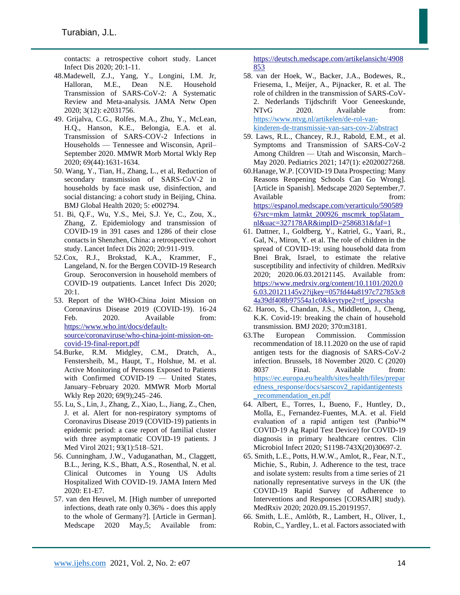contacts: a retrospective cohort study. Lancet Infect Dis 2020; 20:1-11.

- 48.Madewell, Z.J., Yang, Y., Longini, I.M. Jr, Halloran, M.E., Dean N.E. Household Transmission of SARS-CoV-2: A Systematic Review and Meta-analysis. JAMA Netw Open 2020; 3(12): e2031756.
- 49. Grijalva, C.G., Rolfes, M.A., Zhu, Y., McLean, H.Q., Hanson, K.E., Belongia, E.A. et al. Transmission of SARS-COV-2 Infections in Households — Tennessee and Wisconsin, April– September 2020. MMWR Morb Mortal Wkly Rep 2020; 69(44):1631-1634.
- 50. Wang, Y., Tian, H., Zhang, L., et al, Reduction of secondary transmission of SARS-CoV-2 in households by face mask use, disinfection, and social distancing: a cohort study in Beijing, China. BMJ Global Health 2020; 5: e002794.
- 51. Bi, Q.F., Wu, Y.S., Mei, S.J. Ye, C., Zou, X., Zhang, Z. Epidemiology and transmission of COVID-19 in 391 cases and 1286 of their close contacts in Shenzhen, China: a retrospective cohort study. Lancet Infect Dis 2020; 20:911-919.
- 52.Cox, R.J., Brokstad, K.A., Krammer, F., Langeland, N. for the Bergen COVID-19 Research Group. Seroconversion in household members of COVID-19 outpatients. Lancet Infect Dis 2020; 20:1.
- 53. Report of the WHO-China Joint Mission on Coronavirus Disease 2019 (COVID-19). 16-24 Feb. 2020. Available from: [https://www.who.int/docs/default](https://www.who.int/docs/default-source/coronaviruse/who-china-joint-mission-on-covid-19-final-report.pdf)[source/coronaviruse/who-china-joint-mission-on](https://www.who.int/docs/default-source/coronaviruse/who-china-joint-mission-on-covid-19-final-report.pdf)[covid-19-final-report.pdf](https://www.who.int/docs/default-source/coronaviruse/who-china-joint-mission-on-covid-19-final-report.pdf)
- 54.Burke, R.M. Midgley, C.M., Dratch, A., Fenstersheib, M., Haupt, T., Holshue, M. et al. Active Monitoring of Persons Exposed to Patients with Confirmed COVID-19 — United States, January–February 2020. MMWR Morb Mortal Wkly Rep 2020; 69(9);245–246.
- 55. Lu, S., Lin, J., Zhang, Z., Xiao, L., Jiang, Z., Chen, J. et al. Alert for non-respiratory symptoms of Coronavirus Disease 2019 (COVID-19) patients in epidemic period: a case report of familial cluster with three asymptomatic COVID-19 patients. J Med Virol 2021; 93(1):518–521.
- 56. Cunningham, J.W., Vaduganathan, M., Claggett, B.L., Jering, K.S., Bhatt, A.S., Rosenthal, N. et al. Clinical Outcomes in Young US Adults Hospitalized With COVID-19. JAMA Intern Med 2020: E1-E7.
- 57. van den Heuvel, M. [High number of unreported infections, death rate only 0.36% - does this apply to the whole of Germany?]. [Article in German]. Medscape 2020 May,5; Available from:

[https://deutsch.medscape.com/artikelansicht/4908](https://deutsch.medscape.com/artikelansicht/4908853) [853](https://deutsch.medscape.com/artikelansicht/4908853) 

- 58. van der Hoek, W., Backer, J.A., Bodewes, R., Friesema, I., Meijer, A., Pijnacker, R. et al. The role of children in the transmission of SARS-CoV-2. Nederlands Tijdschrift Voor Geneeskunde, NTvG 2020. Available from: [https://www.ntvg.nl/artikelen/de-rol-van](https://www.ntvg.nl/artikelen/de-rol-van-kinderen-de-transmissie-van-sars-cov-2/abstract)[kinderen-de-transmissie-van-sars-cov-2/abstract](https://www.ntvg.nl/artikelen/de-rol-van-kinderen-de-transmissie-van-sars-cov-2/abstract)
- 59. Laws, R.L., Chancey, R.J., Rabold, E.M., et al. Symptoms and Transmission of SARS-CoV-2 Among Children — Utah and Wisconsin, March– May 2020. Pediatrics 2021; 147(1): e2020027268.
- 60.Hanage, W.P. [COVID-19 Data Prospecting: Many Reasons Reopening Schools Can Go Wrong]. [Article in Spanish]. Medscape 2020 September,7. Available from: [https://espanol.medscape.com/verarticulo/590589](https://espanol.medscape.com/verarticulo/5905896?src=mkm_latmkt_200926_mscmrk_top5latam_nl&uac=327178AR&impID=2586831&faf=1) [6?src=mkm\\_latmkt\\_200926\\_mscmrk\\_top5latam\\_](https://espanol.medscape.com/verarticulo/5905896?src=mkm_latmkt_200926_mscmrk_top5latam_nl&uac=327178AR&impID=2586831&faf=1) [nl&uac=327178AR&impID=2586831&faf=1](https://espanol.medscape.com/verarticulo/5905896?src=mkm_latmkt_200926_mscmrk_top5latam_nl&uac=327178AR&impID=2586831&faf=1)
- 61. Dattner, I., Goldberg, Y., Katriel, G., Yaari, R., Gal, N., Miron, Y. et al. The role of children in the spread of COVID-19: using household data from Bnei Brak, Israel, to estimate the relative susceptibility and infectivity of children. MedRxiv 2020; 2020.06.03.20121145. Available from: [https://www.medrxiv.org/content/10.1101/2020.0](https://www.medrxiv.org/content/10.1101/2020.06.03.20121145v2?ijkey=057fd44a8197c727853c84a39df408b97554a1c0&keytype2=tf_ipsecsha) [6.03.20121145v2?ijkey=057fd44a8197c727853c8](https://www.medrxiv.org/content/10.1101/2020.06.03.20121145v2?ijkey=057fd44a8197c727853c84a39df408b97554a1c0&keytype2=tf_ipsecsha) [4a39df408b97554a1c0&keytype2=tf\\_ipsecsha](https://www.medrxiv.org/content/10.1101/2020.06.03.20121145v2?ijkey=057fd44a8197c727853c84a39df408b97554a1c0&keytype2=tf_ipsecsha)
- 62. Haroo, S., Chandan, J.S., Middleton, J., Cheng, K.K. Covid-19: breaking the chain of household transmission. BMJ 2020; 370:m3181.
- 63.The European Commission. Commission recommendation of 18.11.2020 on the use of rapid antigen tests for the diagnosis of SARS-CoV-2 infection. Brussels, 18 November 2020. C (2020) 8037 Final. Available from: [https://ec.europa.eu/health/sites/health/files/prepar](https://ec.europa.eu/health/sites/health/files/preparedness_response/docs/sarscov2_rapidantigentests_recommendation_en.pdf) [edness\\_response/docs/sarscov2\\_rapidantigentests](https://ec.europa.eu/health/sites/health/files/preparedness_response/docs/sarscov2_rapidantigentests_recommendation_en.pdf) [\\_recommendation\\_en.pdf](https://ec.europa.eu/health/sites/health/files/preparedness_response/docs/sarscov2_rapidantigentests_recommendation_en.pdf)
- 64. Albert, E., Torres, I., Bueno, F., Huntley, D., Molla, E., Fernandez-Fuentes, M.A. et al. Field evaluation of a rapid antigen test (Panbio™ COVID-19 Ag Rapid Test Device) for COVID-19 diagnosis in primary healthcare centres. Clin Microbiol Infect 2020; S1198-743X(20)30697-2.
- 65. Smith, L.E., Potts, H.W.W., Amlot, R., Fear, N.T., Michie, S., Rubin, J. Adherence to the test, trace and isolate system: results from a time series of 21 nationally representative surveys in the UK (the COVID-19 Rapid Survey of Adherence to Interventions and Responses [CORSAIR] study). MedRxiv 2020; 2020.09.15.20191957.
- 66. Smith, L.E., Amlȏtb, R., Lambert, H., Oliver, I., Robin, C., Yardley, L. et al. Factors associated with